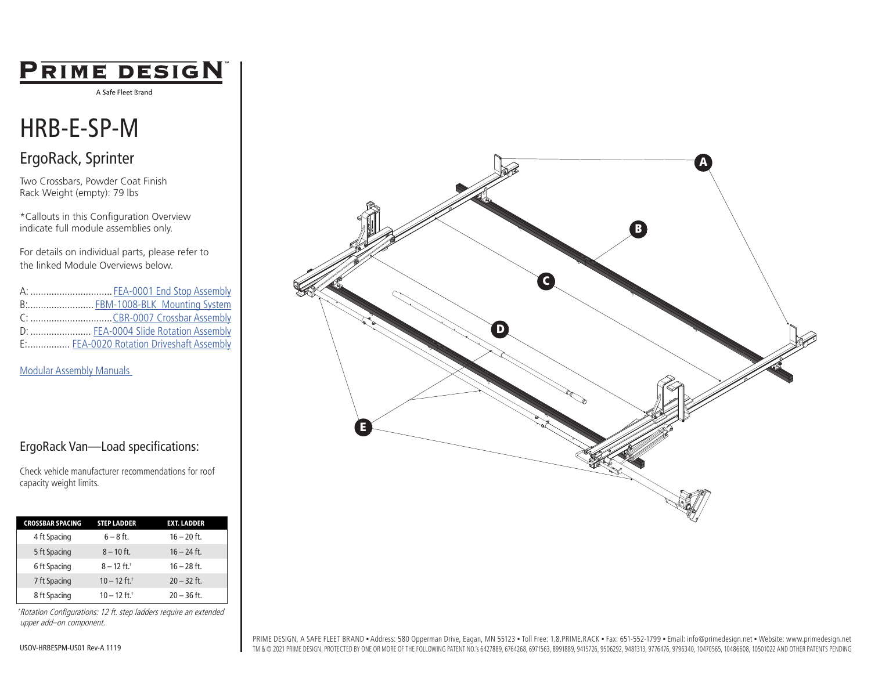## PRIME DESIGN

A Safe Fleet Brand

# HRB-E-SP-M

### ErgoRack, Sprinter

Two Crossbars, Powder Coat Finish Rack Weight (empty): 79 lbs

\*Callouts in this Configuration Overview indicate full module assemblies only.

For details on individual parts, please refer to the linked Module Overviews below.

| A:  FEA-0001 End Stop Assembly           |
|------------------------------------------|
| B: FBM-1008-BLK Mounting System          |
|                                          |
| D:  FEA-0004 Slide Rotation Assembly     |
| E: FEA-0020 Rotation Driveshaft Assembly |

[Modular Assembly Manuals](https://www.primedesign.net/document-library/#modular-assembly-manuals-tab) 

### ErgoRack Van—Load specifications:

Check vehicle manufacturer recommendations for roof capacity weight limits.

| <b>CROSSBAR SPACING</b> | <b>STEP LADDER</b>         | <b>EXT. LADDER</b> |
|-------------------------|----------------------------|--------------------|
| 4 ft Spacing            | $6 - 8$ ft.                | $16 - 20$ ft.      |
| 5 ft Spacing            | $8 - 10$ ft.               | $16 - 24$ ft.      |
| 6 ft Spacing            | $8 - 12$ ft. <sup>+</sup>  | $16 - 28$ ft.      |
| 7 ft Spacing            | $10 - 12$ ft. <sup>+</sup> | $20 - 32$ ft.      |
| 8 ft Spacing            | $10 - 12$ ft. <sup>+</sup> | $20 - 36$ ft.      |

†Rotation Configurations: 12 ft. step ladders require an extended upper add–on component.